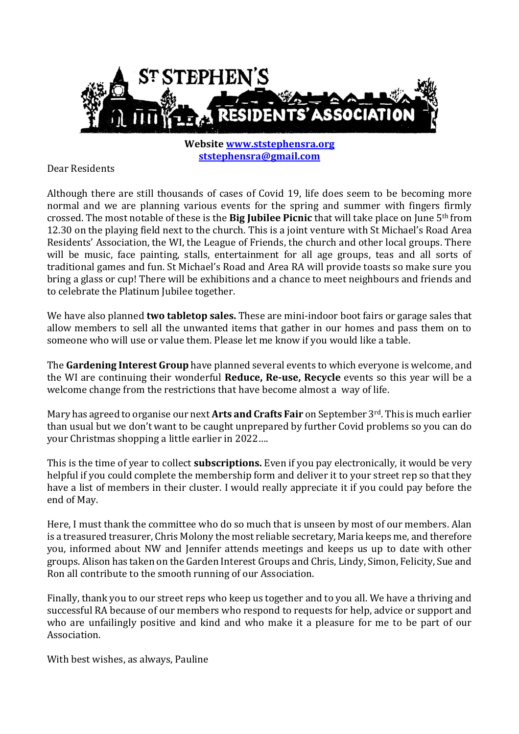

**Website [www.ststephensra.org](http://www.ststephensra.org/) [ststephensra@gmail.com](mailto:ststephensra@gmail.com)**

Dear Residents

Although there are still thousands of cases of Covid 19, life does seem to be becoming more normal and we are planning various events for the spring and summer with fingers firmly crossed. The most notable of these is the **Big Jubilee Picnic** that will take place on June 5th from 12.30 on the playing field next to the church. This is a joint venture with St Michael's Road Area Residents' Association, the WI, the League of Friends, the church and other local groups. There will be music, face painting, stalls, entertainment for all age groups, teas and all sorts of traditional games and fun. St Michael's Road and Area RA will provide toasts so make sure you bring a glass or cup! There will be exhibitions and a chance to meet neighbours and friends and to celebrate the Platinum Jubilee together.

We have also planned **two tabletop sales.** These are mini-indoor boot fairs or garage sales that allow members to sell all the unwanted items that gather in our homes and pass them on to someone who will use or value them. Please let me know if you would like a table.

The **Gardening Interest Group** have planned several events to which everyone is welcome, and the WI are continuing their wonderful **Reduce, Re-use, Recycle** events so this year will be a welcome change from the restrictions that have become almost a way of life.

Mary has agreed to organise our next **Arts and Crafts Fair** on September 3rd. This is much earlier than usual but we don't want to be caught unprepared by further Covid problems so you can do your Christmas shopping a little earlier in 2022….

This is the time of year to collect **subscriptions.** Even if you pay electronically, it would be very helpful if you could complete the membership form and deliver it to your street rep so that they have a list of members in their cluster. I would really appreciate it if you could pay before the end of May.

Here, I must thank the committee who do so much that is unseen by most of our members. Alan is a treasured treasurer, Chris Molony the most reliable secretary, Maria keeps me, and therefore you, informed about NW and Jennifer attends meetings and keeps us up to date with other groups. Alison has taken on the Garden Interest Groups and Chris, Lindy, Simon, Felicity, Sue and Ron all contribute to the smooth running of our Association.

Finally, thank you to our street reps who keep us together and to you all. We have a thriving and successful RA because of our members who respond to requests for help, advice or support and who are unfailingly positive and kind and who make it a pleasure for me to be part of our Association.

With best wishes, as always, Pauline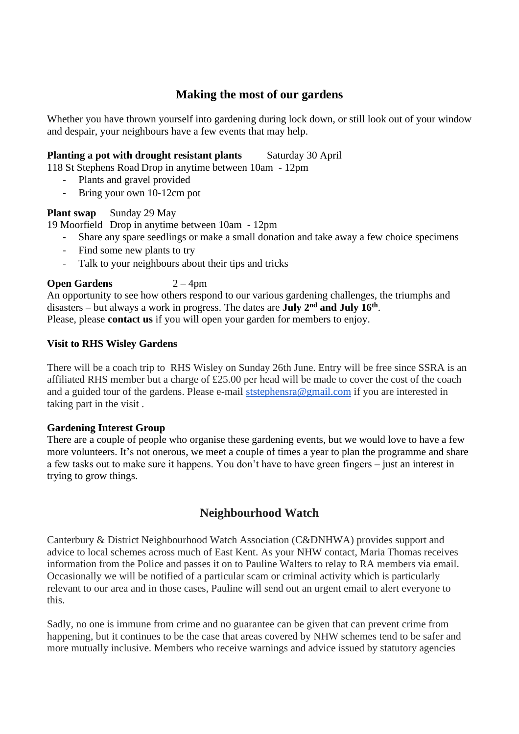## **Making the most of our gardens**

Whether you have thrown yourself into gardening during lock down, or still look out of your window and despair, your neighbours have a few events that may help.

### **Planting a pot with drought resistant plants** Saturday 30 April

118 St Stephens Road Drop in anytime between 10am - 12pm

- Plants and gravel provided
- Bring your own 10-12cm pot

#### **Plant swap** Sunday 29 May

19 Moorfield Drop in anytime between 10am - 12pm

- Share any spare seedlings or make a small donation and take away a few choice specimens
- Find some new plants to try
- Talk to your neighbours about their tips and tricks

### **Open Gardens** 2 – 4pm

An opportunity to see how others respond to our various gardening challenges, the triumphs and disasters – but always a work in progress. The dates are **July 2nd and July 16th** . Please, please **contact us** if you will open your garden for members to enjoy.

#### **Visit to RHS Wisley Gardens**

There will be a coach trip to RHS Wisley on Sunday 26th June. Entry will be free since SSRA is an affiliated RHS member but a charge of £25.00 per head will be made to cover the cost of the coach and a guided tour of the gardens. Please e-mail [ststephensra@gmail.com](mailto:ststephensra@gmail.com) if you are interested in taking part in the visit .

#### **Gardening Interest Group**

There are a couple of people who organise these gardening events, but we would love to have a few more volunteers. It's not onerous, we meet a couple of times a year to plan the programme and share a few tasks out to make sure it happens. You don't have to have green fingers – just an interest in trying to grow things.

## **Neighbourhood Watch**

Canterbury & District Neighbourhood Watch Association (C&DNHWA) provides support and advice to local schemes across much of East Kent. As your NHW contact, Maria Thomas receives information from the Police and passes it on to Pauline Walters to relay to RA members via email. Occasionally we will be notified of a particular scam or criminal activity which is particularly relevant to our area and in those cases, Pauline will send out an urgent email to alert everyone to this.

Sadly, no one is immune from crime and no guarantee can be given that can prevent crime from happening, but it continues to be the case that areas covered by NHW schemes tend to be safer and more mutually inclusive. Members who receive warnings and advice issued by statutory agencies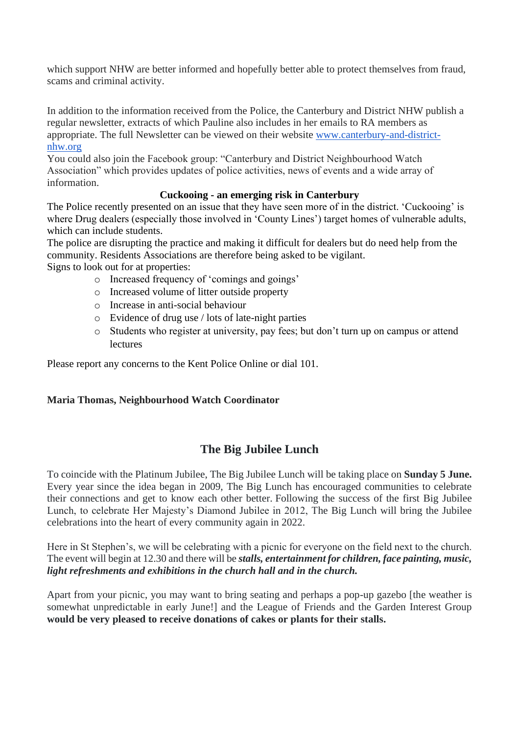which support NHW are better informed and hopefully better able to protect themselves from fraud, scams and criminal activity.

In addition to the information received from the Police, the Canterbury and District NHW publish a regular newsletter, extracts of which Pauline also includes in her emails to RA members as appropriate. The full Newsletter can be viewed on their website [www.canterbury-and-district](http://www.canterbury-and-district-nhw.org/)[nhw.org](http://www.canterbury-and-district-nhw.org/)

You could also join the Facebook group: "Canterbury and District Neighbourhood Watch Association" which provides updates of police activities, news of events and a wide array of information.

### **Cuckooing - an emerging risk in Canterbury**

The Police recently presented on an issue that they have seen more of in the district. 'Cuckooing' is where Drug dealers (especially those involved in 'County Lines') target homes of vulnerable adults, which can include students.

The police are disrupting the practice and making it difficult for dealers but do need help from the community. Residents Associations are therefore being asked to be vigilant.

Signs to look out for at properties:

- o Increased frequency of 'comings and goings'
- o Increased volume of litter outside property
- o Increase in anti-social behaviour
- o Evidence of drug use / lots of late-night parties
- o Students who register at university, pay fees; but don't turn up on campus or attend lectures

Please report any concerns to the Kent Police Online or dial 101.

### **Maria Thomas, Neighbourhood Watch Coordinator**

## **The Big Jubilee Lunch**

To coincide with the Platinum Jubilee, The Big Jubilee Lunch will be taking place on **Sunday 5 June.** Every year since the idea began in 2009, The Big Lunch has encouraged communities to celebrate their connections and get to know each other better. Following the success of the first Big Jubilee Lunch, to celebrate Her Majesty's Diamond Jubilee in 2012, The Big Lunch will bring the Jubilee celebrations into the heart of every community again in 2022.

Here in St Stephen's, we will be celebrating with a picnic for everyone on the field next to the church. The event will begin at 12.30 and there will be *stalls, entertainment for children, face painting, music, light refreshments and exhibitions in the church hall and in the church.* 

Apart from your picnic, you may want to bring seating and perhaps a pop-up gazebo [the weather is somewhat unpredictable in early June!] and the League of Friends and the Garden Interest Group **would be very pleased to receive donations of cakes or plants for their stalls.**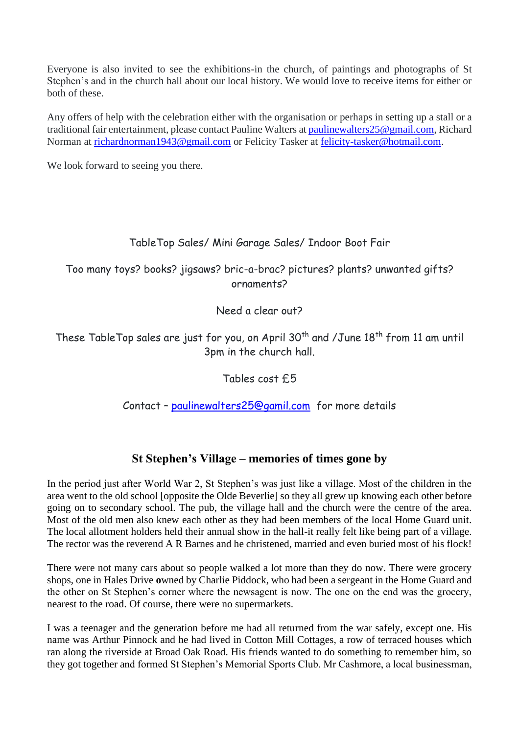Everyone is also invited to see the exhibitions-in the church, of paintings and photographs of St Stephen's and in the church hall about our local history. We would love to receive items for either or both of these.

Any offers of help with the celebration either with the organisation or perhaps in setting up a stall or a traditional fair entertainment, please contact Pauline Walters at paulinewalters 25 @gmail.com, Richard Norman at [richardnorman1943@gmail.com](mailto:richardnorman1943@gmail.com) or Felicity Tasker at [felicity-tasker@hotmail.com.](mailto:felicity-tasker@hotmail.com)

We look forward to seeing you there.

### TableTop Sales/ Mini Garage Sales/ Indoor Boot Fair

Too many toys? books? jigsaws? bric-a-brac? pictures? plants? unwanted gifts? ornaments?

Need a clear out?

These TableTop sales are just for you, on April 30<sup>th</sup> and /June 18<sup>th</sup> from 11 am until 3pm in the church hall.

Tables cost £5

Contact – [paulinewalters25@gamil.com](mailto:paulinewalters25@gamil.com) for more details

## **St Stephen's Village – memories of times gone by**

In the period just after World War 2, St Stephen's was just like a village. Most of the children in the area went to the old school [opposite the Olde Beverlie] so they all grew up knowing each other before going on to secondary school. The pub, the village hall and the church were the centre of the area. Most of the old men also knew each other as they had been members of the local Home Guard unit. The local allotment holders held their annual show in the hall-it really felt like being part of a village. The rector was the reverend A R Barnes and he christened, married and even buried most of his flock!

There were not many cars about so people walked a lot more than they do now. There were grocery shops, one in Hales Drive **o**wned by Charlie Piddock, who had been a sergeant in the Home Guard and the other on St Stephen's corner where the newsagent is now. The one on the end was the grocery, nearest to the road. Of course, there were no supermarkets.

I was a teenager and the generation before me had all returned from the war safely, except one. His name was Arthur Pinnock and he had lived in Cotton Mill Cottages, a row of terraced houses which ran along the riverside at Broad Oak Road. His friends wanted to do something to remember him, so they got together and formed St Stephen's Memorial Sports Club. Mr Cashmore, a local businessman,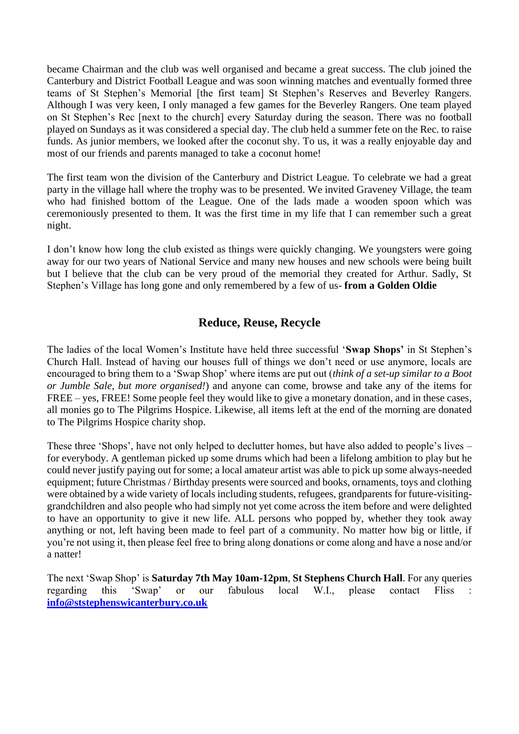became Chairman and the club was well organised and became a great success. The club joined the Canterbury and District Football League and was soon winning matches and eventually formed three teams of St Stephen's Memorial [the first team] St Stephen's Reserves and Beverley Rangers. Although I was very keen, I only managed a few games for the Beverley Rangers. One team played on St Stephen's Rec [next to the church] every Saturday during the season. There was no football played on Sundays as it was considered a special day. The club held a summer fete on the Rec. to raise funds. As junior members, we looked after the coconut shy. To us, it was a really enjoyable day and most of our friends and parents managed to take a coconut home!

The first team won the division of the Canterbury and District League. To celebrate we had a great party in the village hall where the trophy was to be presented. We invited Graveney Village, the team who had finished bottom of the League. One of the lads made a wooden spoon which was ceremoniously presented to them. It was the first time in my life that I can remember such a great night.

I don't know how long the club existed as things were quickly changing. We youngsters were going away for our two years of National Service and many new houses and new schools were being built but I believe that the club can be very proud of the memorial they created for Arthur. Sadly, St Stephen's Village has long gone and only remembered by a few of us- **from a Golden Oldie**

## **Reduce, Reuse, Recycle**

The ladies of the local Women's Institute have held three successful '**Swap Shops'** in St Stephen's Church Hall. Instead of having our houses full of things we don't need or use anymore, locals are encouraged to bring them to a 'Swap Shop' where items are put out (*think of a set-up similar to a Boot or Jumble Sale, but more organised!*) and anyone can come, browse and take any of the items for FREE – yes, FREE! Some people feel they would like to give a monetary donation, and in these cases, all monies go to The Pilgrims Hospice. Likewise, all items left at the end of the morning are donated to The Pilgrims Hospice charity shop.

These three 'Shops', have not only helped to declutter homes, but have also added to people's lives – for everybody. A gentleman picked up some drums which had been a lifelong ambition to play but he could never justify paying out for some; a local amateur artist was able to pick up some always-needed equipment; future Christmas / Birthday presents were sourced and books, ornaments, toys and clothing were obtained by a wide variety of locals including students, refugees, grandparents for future-visitinggrandchildren and also people who had simply not yet come across the item before and were delighted to have an opportunity to give it new life. ALL persons who popped by, whether they took away anything or not, left having been made to feel part of a community. No matter how big or little, if you're not using it, then please feel free to bring along donations or come along and have a nose and/or a natter!

The next 'Swap Shop' is **Saturday 7th May 10am-12pm**, **St Stephens Church Hall**. For any queries regarding this 'Swap' or our fabulous local W.I., please contact Fliss : **[info@ststephenswicanterbury.co.uk](mailto:info@ststephenswicanterbury.co.uk)**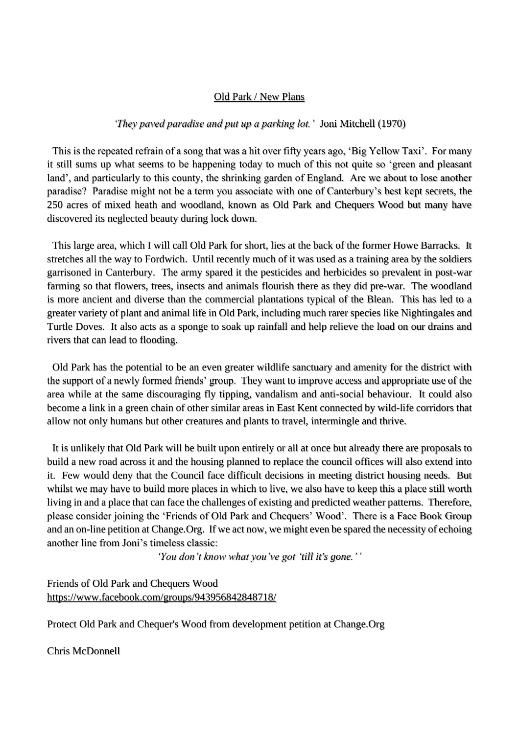#### Old Park / New Plans

#### *'They paved paradise and put up a parking lot.'* Joni Mitchell (1970)

 This is the repeated refrain of a song that was a hit over fifty years ago, 'Big Yellow Taxi'. For many it still sums up what seems to be happening today to much of this not quite so 'green and pleasant land', and particularly to this county, the shrinking garden of England. Are we about to lose another paradise? Paradise might not be a term you associate with one of Canterbury's best kept secrets, the 250 acres of mixed heath and woodland, known as Old Park and Chequers Wood but many have discovered its neglected beauty during lock down.

 This large area, which I will call Old Park for short, lies at the back of the former Howe Barracks. It stretches all the way to Fordwich. Until recently much of it was used as a training area by the soldiers garrisoned in Canterbury. The army spared it the pesticides and herbicides so prevalent in post-war farming so that flowers, trees, insects and animals flourish there as they did pre-war. The woodland is more ancient and diverse than the commercial plantations typical of the Blean. This has led to a greater variety of plant and animal life in Old Park, including much rarer species like Nightingales and Turtle Doves. It also acts as a sponge to soak up rainfall and help relieve the load on our drains and rivers that can lead to flooding.

 Old Park has the potential to be an even greater wildlife sanctuary and amenity for the district with the support of a newly formed friends' group. They want to improve access and appropriate use of the area while at the same discouraging fly tipping, vandalism and anti-social behaviour. It could also become a link in a green chain of other similar areas in East Kent connected by wild-life corridors that allow not only humans but other creatures and plants to travel, intermingle and thrive.

 It is unlikely that Old Park will be built upon entirely or all at once but already there are proposals to build a new road across it and the housing planned to replace the council offices will also extend into it. Few would deny that the Council face difficult decisions in meeting district housing needs. But whilst we may have to build more places in which to live, we also have to keep this a place still worth living in and a place that can face the challenges of existing and predicted weather patterns. Therefore, please consider joining the 'Friends of Old Park and Chequers' Wood'. There is a Face Book Group and an on-line petition at Change.Org. If we act now, we might even be spared the necessity of echoing another line from Joni's timeless classic:

*'You don't know what you've got 'till it's gone.'* '

Friends of Old Park and Chequers Wood <https://www.facebook.com/groups/943956842848718/>

Protect Old Park and Chequer's Wood from development petition at Change.Org

Chris McDonnell